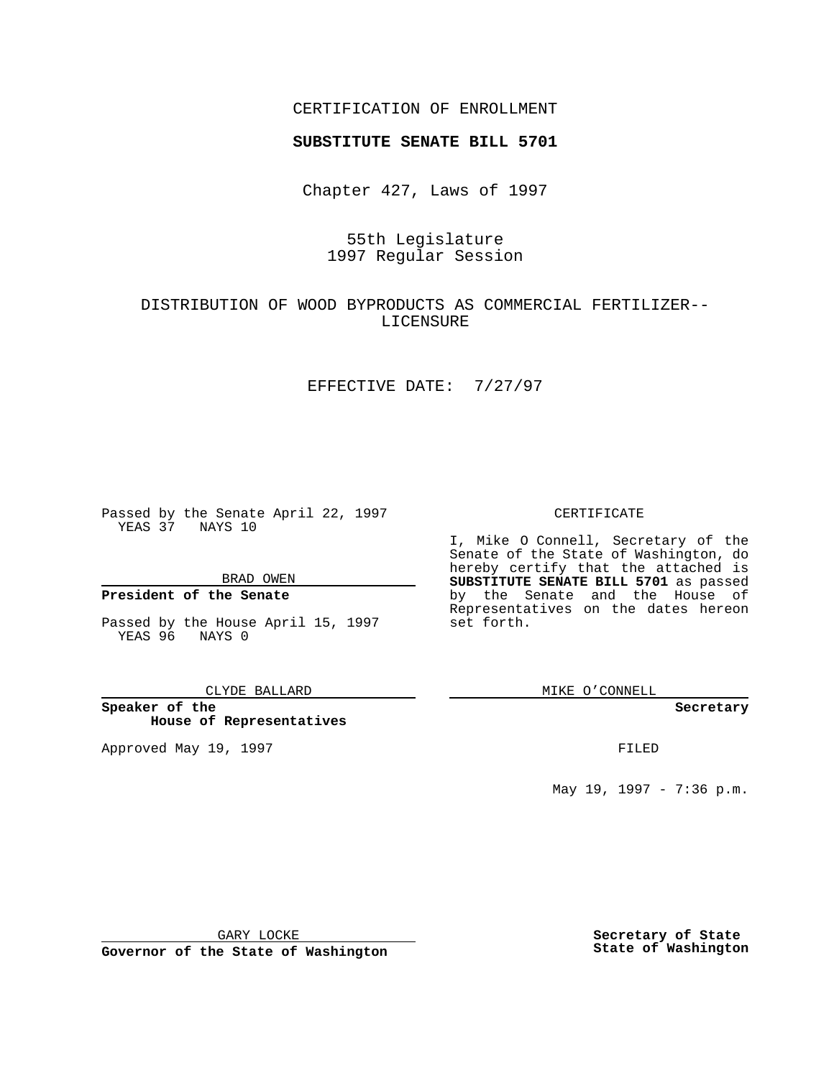## CERTIFICATION OF ENROLLMENT

# **SUBSTITUTE SENATE BILL 5701**

Chapter 427, Laws of 1997

# 55th Legislature 1997 Regular Session

# DISTRIBUTION OF WOOD BYPRODUCTS AS COMMERCIAL FERTILIZER-- LICENSURE

### EFFECTIVE DATE: 7/27/97

Passed by the Senate April 22, 1997 YEAS 37 NAYS 10

BRAD OWEN

### **President of the Senate**

Passed by the House April 15, 1997 YEAS 96 NAYS 0

#### CLYDE BALLARD

**Speaker of the House of Representatives**

Approved May 19, 1997 **FILED** 

### CERTIFICATE

I, Mike O Connell, Secretary of the Senate of the State of Washington, do hereby certify that the attached is **SUBSTITUTE SENATE BILL 5701** as passed by the Senate and the House of Representatives on the dates hereon set forth.

MIKE O'CONNELL

### **Secretary**

May 19, 1997 - 7:36 p.m.

GARY LOCKE

**Governor of the State of Washington**

**Secretary of State State of Washington**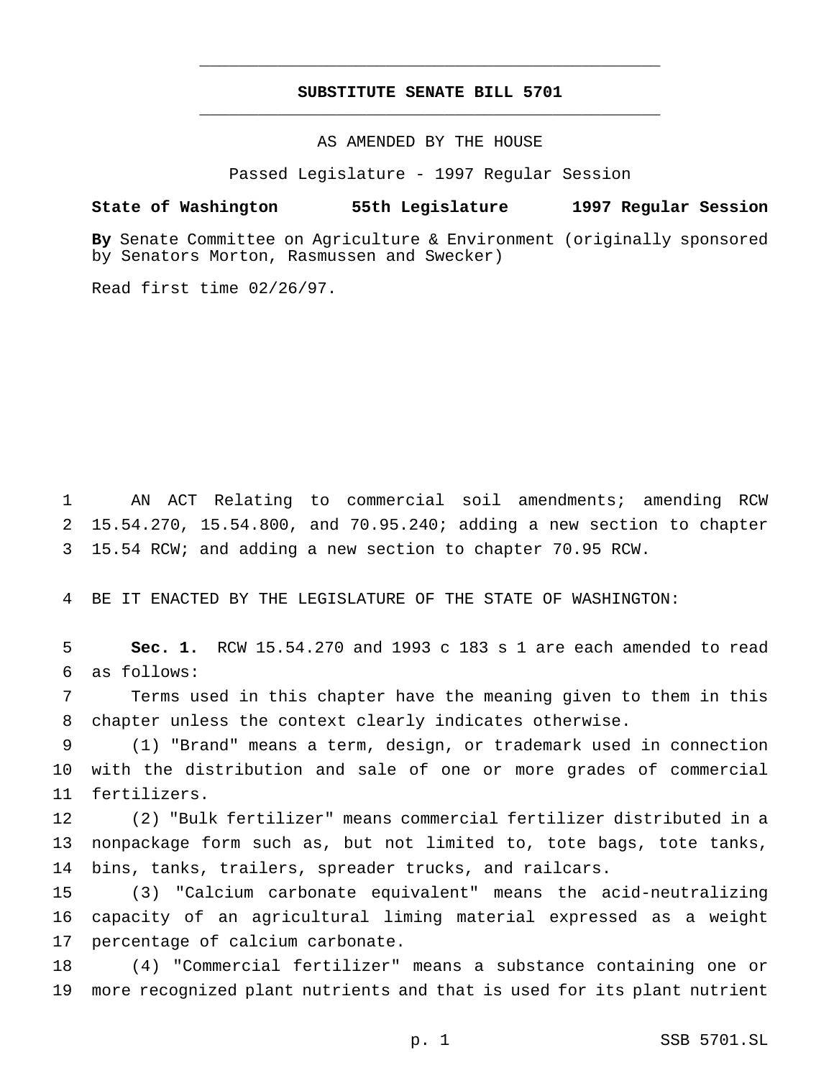## **SUBSTITUTE SENATE BILL 5701** \_\_\_\_\_\_\_\_\_\_\_\_\_\_\_\_\_\_\_\_\_\_\_\_\_\_\_\_\_\_\_\_\_\_\_\_\_\_\_\_\_\_\_\_\_\_\_

\_\_\_\_\_\_\_\_\_\_\_\_\_\_\_\_\_\_\_\_\_\_\_\_\_\_\_\_\_\_\_\_\_\_\_\_\_\_\_\_\_\_\_\_\_\_\_

AS AMENDED BY THE HOUSE

Passed Legislature - 1997 Regular Session

### **State of Washington 55th Legislature 1997 Regular Session**

**By** Senate Committee on Agriculture & Environment (originally sponsored by Senators Morton, Rasmussen and Swecker)

Read first time 02/26/97.

 AN ACT Relating to commercial soil amendments; amending RCW 15.54.270, 15.54.800, and 70.95.240; adding a new section to chapter 15.54 RCW; and adding a new section to chapter 70.95 RCW.

BE IT ENACTED BY THE LEGISLATURE OF THE STATE OF WASHINGTON:

 **Sec. 1.** RCW 15.54.270 and 1993 c 183 s 1 are each amended to read as follows:

 Terms used in this chapter have the meaning given to them in this chapter unless the context clearly indicates otherwise.

 (1) "Brand" means a term, design, or trademark used in connection with the distribution and sale of one or more grades of commercial fertilizers.

 (2) "Bulk fertilizer" means commercial fertilizer distributed in a nonpackage form such as, but not limited to, tote bags, tote tanks, bins, tanks, trailers, spreader trucks, and railcars.

 (3) "Calcium carbonate equivalent" means the acid-neutralizing capacity of an agricultural liming material expressed as a weight percentage of calcium carbonate.

 (4) "Commercial fertilizer" means a substance containing one or more recognized plant nutrients and that is used for its plant nutrient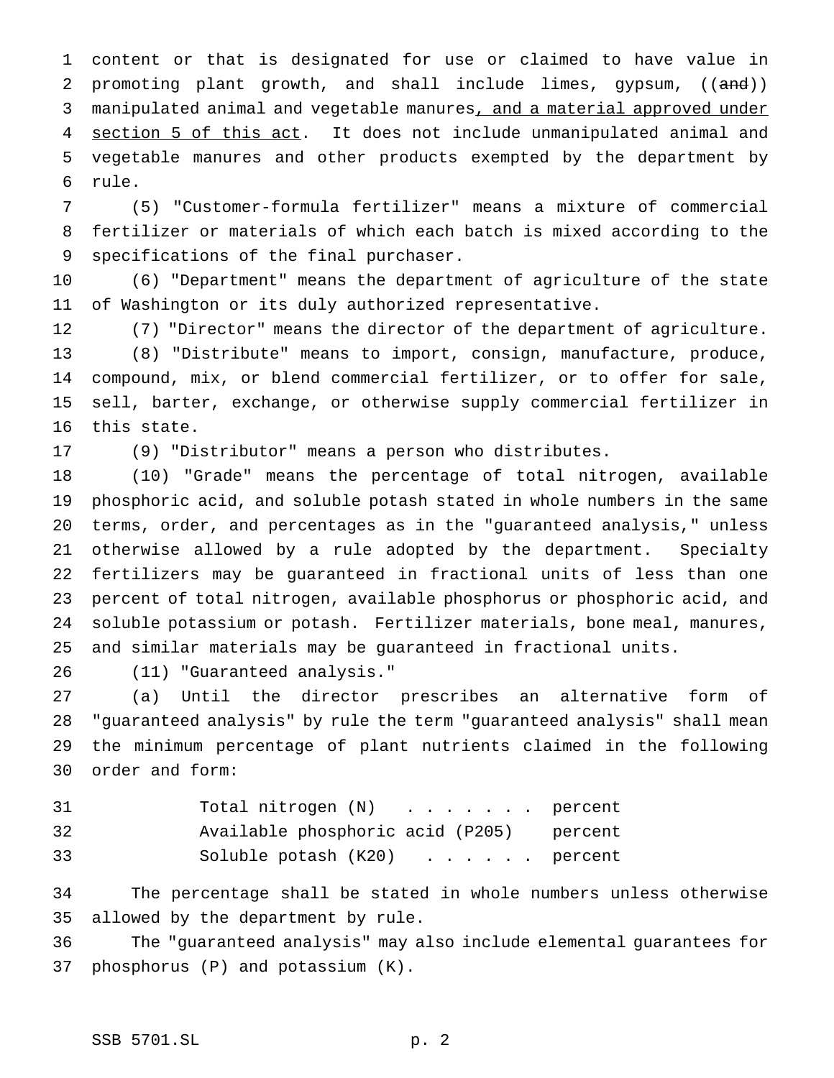content or that is designated for use or claimed to have value in 2 promoting plant growth, and shall include limes, gypsum, ((and)) 3 manipulated animal and vegetable manures, and a material approved under 4 section 5 of this act. It does not include unmanipulated animal and vegetable manures and other products exempted by the department by rule.

 (5) "Customer-formula fertilizer" means a mixture of commercial fertilizer or materials of which each batch is mixed according to the specifications of the final purchaser.

 (6) "Department" means the department of agriculture of the state of Washington or its duly authorized representative.

 (7) "Director" means the director of the department of agriculture. (8) "Distribute" means to import, consign, manufacture, produce, compound, mix, or blend commercial fertilizer, or to offer for sale, sell, barter, exchange, or otherwise supply commercial fertilizer in this state.

(9) "Distributor" means a person who distributes.

 (10) "Grade" means the percentage of total nitrogen, available phosphoric acid, and soluble potash stated in whole numbers in the same terms, order, and percentages as in the "guaranteed analysis," unless otherwise allowed by a rule adopted by the department. Specialty fertilizers may be guaranteed in fractional units of less than one percent of total nitrogen, available phosphorus or phosphoric acid, and soluble potassium or potash. Fertilizer materials, bone meal, manures, and similar materials may be guaranteed in fractional units.

(11) "Guaranteed analysis."

 (a) Until the director prescribes an alternative form of "guaranteed analysis" by rule the term "guaranteed analysis" shall mean the minimum percentage of plant nutrients claimed in the following order and form:

| 31 | Total nitrogen (N) percent               |  |
|----|------------------------------------------|--|
| 32 | Available phosphoric acid (P205) percent |  |
| 33 | Soluble potash $(K20)$ percent           |  |

 The percentage shall be stated in whole numbers unless otherwise allowed by the department by rule.

 The "guaranteed analysis" may also include elemental guarantees for phosphorus (P) and potassium (K).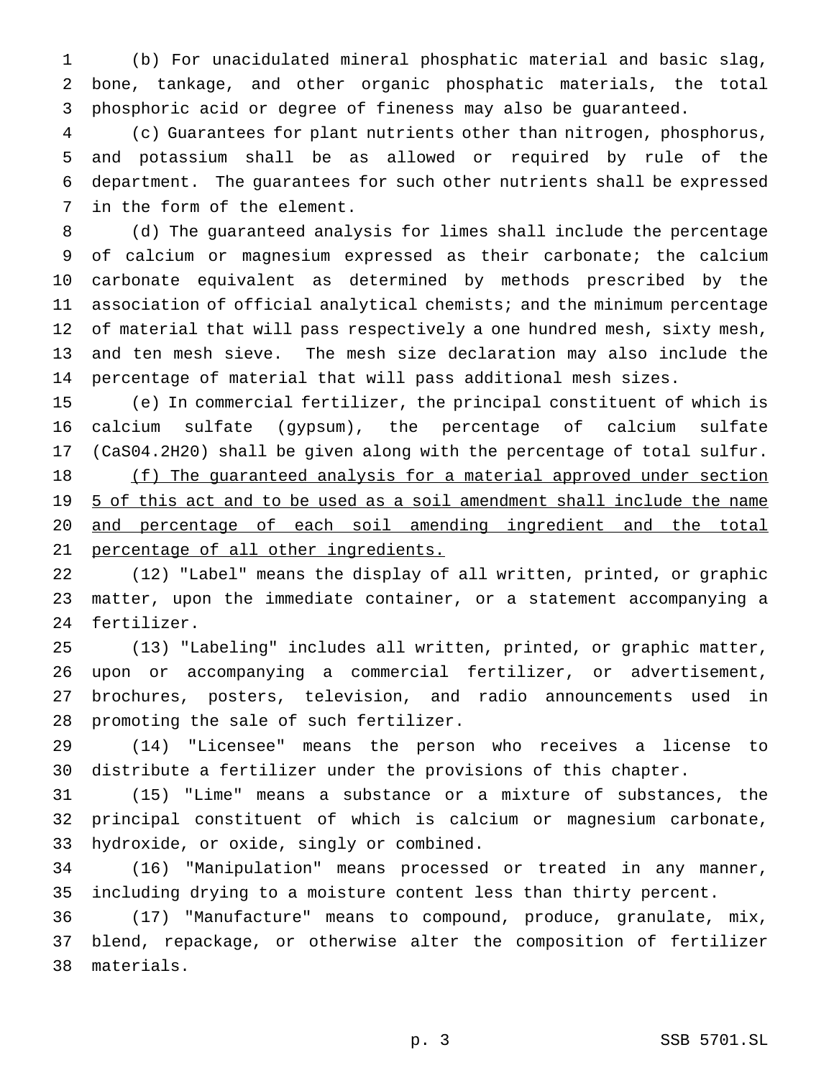(b) For unacidulated mineral phosphatic material and basic slag, bone, tankage, and other organic phosphatic materials, the total phosphoric acid or degree of fineness may also be guaranteed.

 (c) Guarantees for plant nutrients other than nitrogen, phosphorus, and potassium shall be as allowed or required by rule of the department. The guarantees for such other nutrients shall be expressed in the form of the element.

 (d) The guaranteed analysis for limes shall include the percentage of calcium or magnesium expressed as their carbonate; the calcium carbonate equivalent as determined by methods prescribed by the association of official analytical chemists; and the minimum percentage of material that will pass respectively a one hundred mesh, sixty mesh, and ten mesh sieve. The mesh size declaration may also include the percentage of material that will pass additional mesh sizes.

 (e) In commercial fertilizer, the principal constituent of which is calcium sulfate (gypsum), the percentage of calcium sulfate (CaS04.2H20) shall be given along with the percentage of total sulfur. 18 (f) The guaranteed analysis for a material approved under section 19 5 of this act and to be used as a soil amendment shall include the name and percentage of each soil amending ingredient and the total

21 percentage of all other ingredients.

 (12) "Label" means the display of all written, printed, or graphic matter, upon the immediate container, or a statement accompanying a fertilizer.

 (13) "Labeling" includes all written, printed, or graphic matter, upon or accompanying a commercial fertilizer, or advertisement, brochures, posters, television, and radio announcements used in promoting the sale of such fertilizer.

 (14) "Licensee" means the person who receives a license to distribute a fertilizer under the provisions of this chapter.

 (15) "Lime" means a substance or a mixture of substances, the principal constituent of which is calcium or magnesium carbonate, hydroxide, or oxide, singly or combined.

 (16) "Manipulation" means processed or treated in any manner, including drying to a moisture content less than thirty percent.

 (17) "Manufacture" means to compound, produce, granulate, mix, blend, repackage, or otherwise alter the composition of fertilizer materials.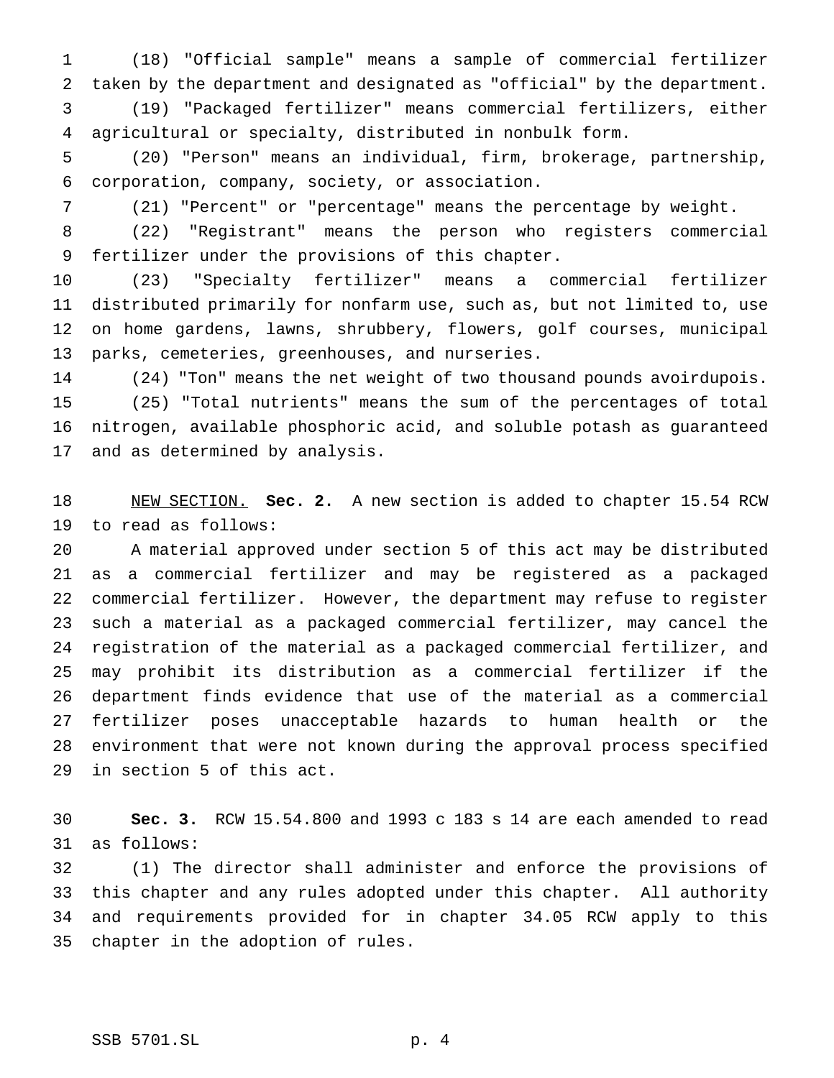(18) "Official sample" means a sample of commercial fertilizer taken by the department and designated as "official" by the department. (19) "Packaged fertilizer" means commercial fertilizers, either agricultural or specialty, distributed in nonbulk form.

 (20) "Person" means an individual, firm, brokerage, partnership, corporation, company, society, or association.

(21) "Percent" or "percentage" means the percentage by weight.

 (22) "Registrant" means the person who registers commercial fertilizer under the provisions of this chapter.

 (23) "Specialty fertilizer" means a commercial fertilizer distributed primarily for nonfarm use, such as, but not limited to, use on home gardens, lawns, shrubbery, flowers, golf courses, municipal parks, cemeteries, greenhouses, and nurseries.

 (24) "Ton" means the net weight of two thousand pounds avoirdupois. (25) "Total nutrients" means the sum of the percentages of total nitrogen, available phosphoric acid, and soluble potash as guaranteed and as determined by analysis.

 NEW SECTION. **Sec. 2.** A new section is added to chapter 15.54 RCW to read as follows:

 A material approved under section 5 of this act may be distributed as a commercial fertilizer and may be registered as a packaged commercial fertilizer. However, the department may refuse to register such a material as a packaged commercial fertilizer, may cancel the registration of the material as a packaged commercial fertilizer, and may prohibit its distribution as a commercial fertilizer if the department finds evidence that use of the material as a commercial fertilizer poses unacceptable hazards to human health or the environment that were not known during the approval process specified in section 5 of this act.

 **Sec. 3.** RCW 15.54.800 and 1993 c 183 s 14 are each amended to read as follows:

 (1) The director shall administer and enforce the provisions of this chapter and any rules adopted under this chapter. All authority and requirements provided for in chapter 34.05 RCW apply to this chapter in the adoption of rules.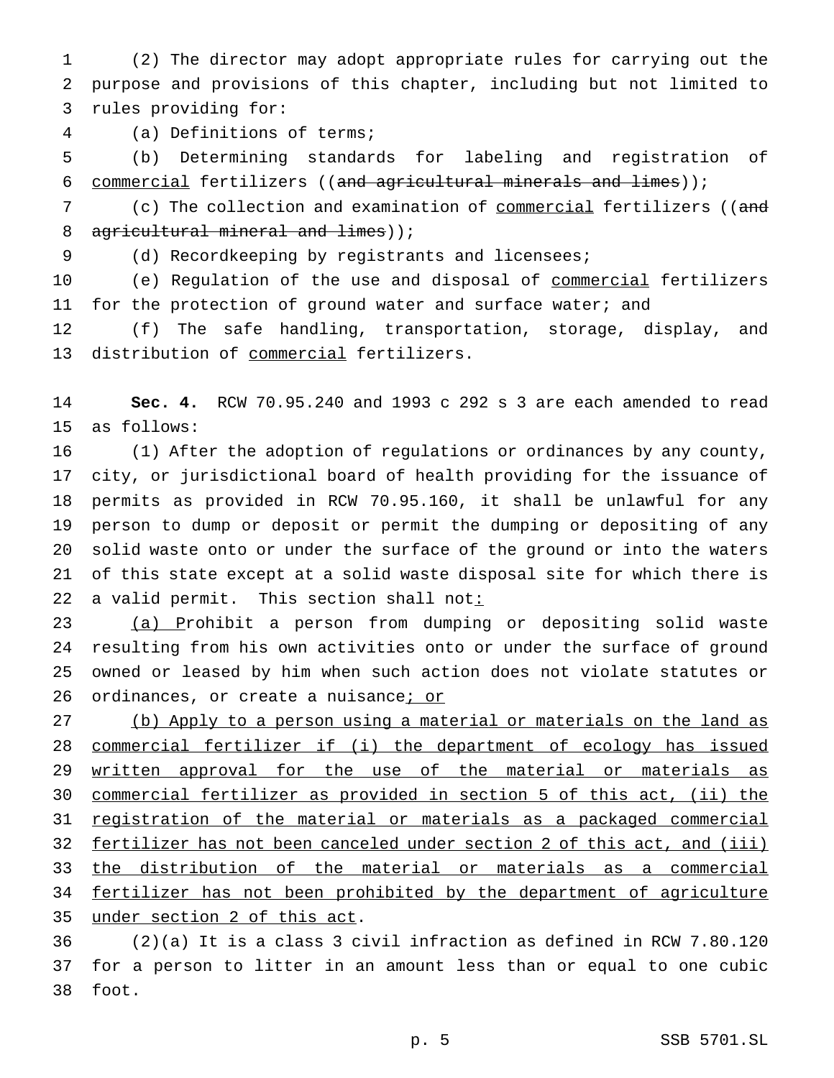(2) The director may adopt appropriate rules for carrying out the purpose and provisions of this chapter, including but not limited to rules providing for:

(a) Definitions of terms;

 (b) Determining standards for labeling and registration of commercial fertilizers ((and agricultural minerals and limes));

7 (c) The collection and examination of <u>commercial</u> fertilizers ((and 8 agricultural mineral and limes));

(d) Recordkeeping by registrants and licensees;

10 (e) Regulation of the use and disposal of commercial fertilizers 11 for the protection of ground water and surface water; and

 (f) The safe handling, transportation, storage, display, and 13 distribution of commercial fertilizers.

 **Sec. 4.** RCW 70.95.240 and 1993 c 292 s 3 are each amended to read as follows:

 (1) After the adoption of regulations or ordinances by any county, city, or jurisdictional board of health providing for the issuance of permits as provided in RCW 70.95.160, it shall be unlawful for any person to dump or deposit or permit the dumping or depositing of any solid waste onto or under the surface of the ground or into the waters of this state except at a solid waste disposal site for which there is 22 a valid permit. This section shall not:

 (a) Prohibit a person from dumping or depositing solid waste resulting from his own activities onto or under the surface of ground owned or leased by him when such action does not violate statutes or 26 ordinances, or create a nuisance; or

 (b) Apply to a person using a material or materials on the land as commercial fertilizer if (i) the department of ecology has issued 29 written approval for the use of the material or materials as commercial fertilizer as provided in section 5 of this act, (ii) the registration of the material or materials as a packaged commercial fertilizer has not been canceled under section 2 of this act, and (iii) the distribution of the material or materials as a commercial 34 fertilizer has not been prohibited by the department of agriculture under section 2 of this act.

 (2)(a) It is a class 3 civil infraction as defined in RCW 7.80.120 for a person to litter in an amount less than or equal to one cubic foot.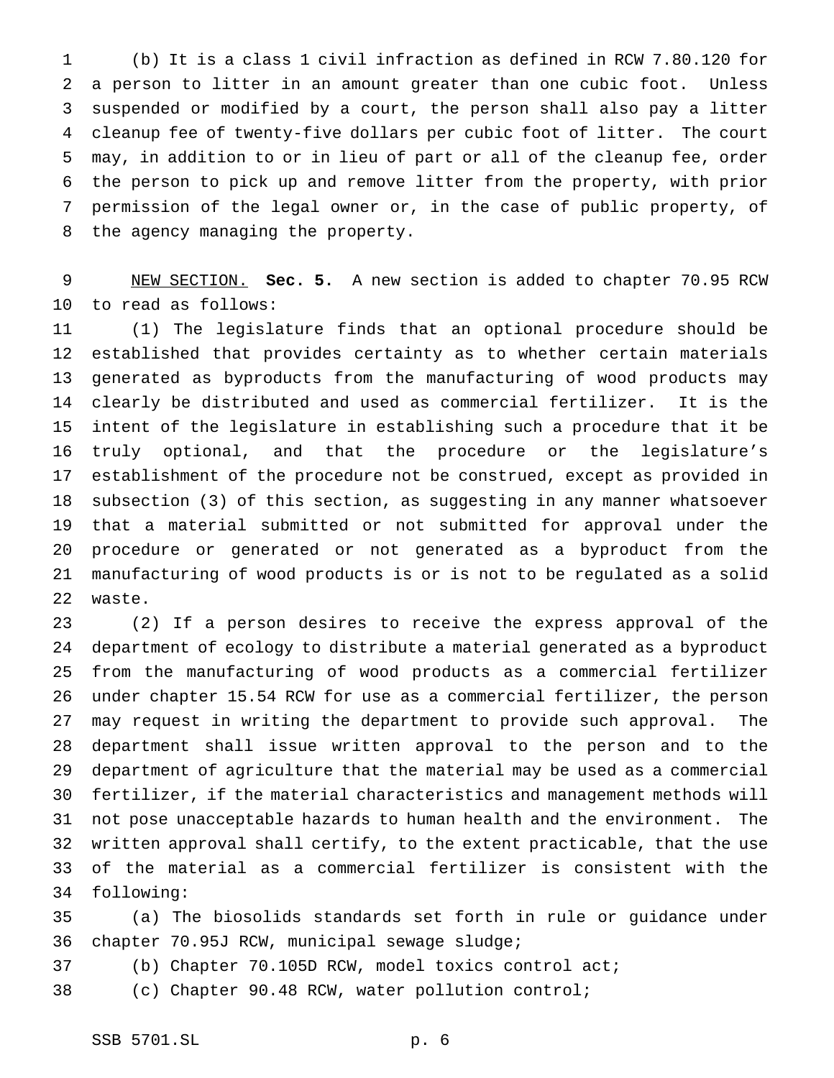(b) It is a class 1 civil infraction as defined in RCW 7.80.120 for a person to litter in an amount greater than one cubic foot. Unless suspended or modified by a court, the person shall also pay a litter cleanup fee of twenty-five dollars per cubic foot of litter. The court may, in addition to or in lieu of part or all of the cleanup fee, order the person to pick up and remove litter from the property, with prior permission of the legal owner or, in the case of public property, of the agency managing the property.

 NEW SECTION. **Sec. 5.** A new section is added to chapter 70.95 RCW to read as follows:

 (1) The legislature finds that an optional procedure should be established that provides certainty as to whether certain materials generated as byproducts from the manufacturing of wood products may clearly be distributed and used as commercial fertilizer. It is the intent of the legislature in establishing such a procedure that it be truly optional, and that the procedure or the legislature's establishment of the procedure not be construed, except as provided in subsection (3) of this section, as suggesting in any manner whatsoever that a material submitted or not submitted for approval under the procedure or generated or not generated as a byproduct from the manufacturing of wood products is or is not to be regulated as a solid waste.

 (2) If a person desires to receive the express approval of the department of ecology to distribute a material generated as a byproduct from the manufacturing of wood products as a commercial fertilizer under chapter 15.54 RCW for use as a commercial fertilizer, the person may request in writing the department to provide such approval. The department shall issue written approval to the person and to the department of agriculture that the material may be used as a commercial fertilizer, if the material characteristics and management methods will not pose unacceptable hazards to human health and the environment. The written approval shall certify, to the extent practicable, that the use of the material as a commercial fertilizer is consistent with the following:

 (a) The biosolids standards set forth in rule or guidance under chapter 70.95J RCW, municipal sewage sludge;

(b) Chapter 70.105D RCW, model toxics control act;

(c) Chapter 90.48 RCW, water pollution control;